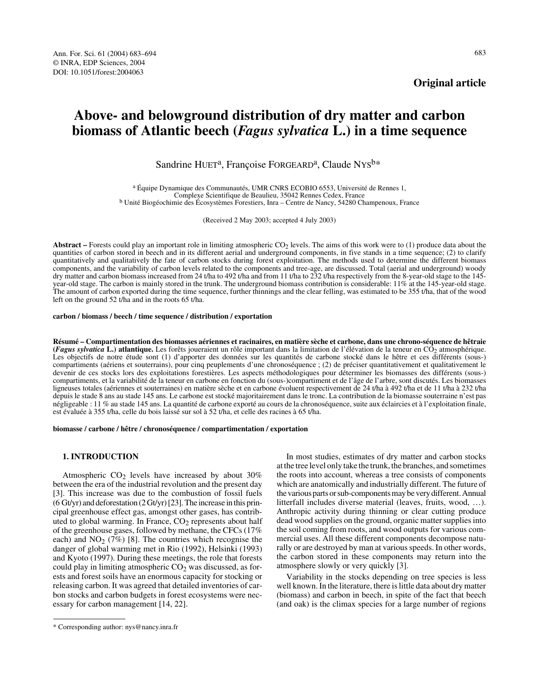**Original article**

# **Above- and belowground distribution of dry matter and carbon biomass of Atlantic beech (***Fagus sylvatica* **L.) in a time sequence**

Sandrine HUET<sup>a</sup>, Françoise FORGEARD<sup>a</sup>, Claude NYS<sup>b\*</sup>

<sup>a</sup> Équipe Dynamique des Communautés, UMR CNRS ECOBIO 6553, Université de Rennes 1,<br>Complexe Scientifique de Beaulieu, 35042 Rennes Cedex, France <sup>b</sup> Unité Biogéochimie des Écosystèmes Forestiers, Inra – Centre de Nancy, 54280 Champenoux, France

(Received 2 May 2003; accepted 4 July 2003)

Abstract – Forests could play an important role in limiting atmospheric CO<sub>2</sub> levels. The aims of this work were to (1) produce data about the quantities of carbon stored in beech and in its different aerial and underground components, in five stands in a time sequence; (2) to clarify quantitatively and qualitatively the fate of carbon stocks during forest exploitation. The methods used to determine the different biomass components, and the variability of carbon levels related to the components and tree-age, are discussed. Total (aerial and underground) woody dry matter and carbon biomass increased from 24 t/ha to 492 t/ha and from 11 t/ha to 232 t/ha respectively from the 8-year-old stage to the 145year-old stage. The carbon is mainly stored in the trunk. The underground biomass contribution is considerable: 11% at the 145-year-old stage. The amount of carbon exported during the time sequence, further thinnings and the clear felling, was estimated to be 355 t/ha, that of the wood left on the ground 52 t/ha and in the roots 65 t/ha.

#### **carbon / biomass / beech / time sequence / distribution / exportation**

**Résumé – Compartimentation des biomasses aériennes et racinaires, en matière sèche et carbone, dans une chrono-séquence de hêtraie** (*Fagus sylvatica* L.) atlantique. Les forêts joueraient un rôle important dans la limitation de l'élévation de la teneur en CO<sub>2</sub> atmosphérique. Les objectifs de notre étude sont (1) d'apporter des données sur les quantités de carbone stocké dans le hêtre et ces différents (sous-) compartiments (aériens et souterrains), pour cinq peuplements d'une chronoséquence ; (2) de préciser quantitativement et qualitativement le devenir de ces stocks lors des exploitations forestières. Les aspects méthodologiques pour déterminer les biomasses des différents (sous-) compartiments, et la variabilité de la teneur en carbone en fonction du (sous-)compartiment et de l'âge de l'arbre, sont discutés. Les biomasses ligneuses totales (aériennes et souterraines) en matière sèche et en carbone évoluent respectivement de 24 t/ha à 492 t/ha et de 11 t/ha à 232 t/ha depuis le stade 8 ans au stade 145 ans. Le carbone est stocké majoritairement dans le tronc. La contribution de la biomasse souterraine n'est pas négligeable : 11 % au stade 145 ans. La quantité de carbone exporté au cours de la chronoséquence, suite aux éclaircies et à l'exploitation finale, est évaluée à 355 t/ha, celle du bois laissé sur sol à 52 t/ha, et celle des racines à 65 t/ha.

**biomasse / carbone / hêtre / chronoséquence / compartimentation / exportation**

# **1. INTRODUCTION**

Atmospheric  $CO<sub>2</sub>$  levels have increased by about 30% between the era of the industrial revolution and the present day [3]. This increase was due to the combustion of fossil fuels (6 Gt/yr) and deforestation (2 Gt/yr) [23]. The increase in this principal greenhouse effect gas, amongst other gases, has contributed to global warming. In France,  $CO<sub>2</sub>$  represents about half of the greenhouse gases, followed by methane, the CFCs (17% each) and  $NO<sub>2</sub>$  (7%) [8]. The countries which recognise the danger of global warming met in Rio (1992), Helsinki (1993) and Kyoto (1997). During these meetings, the role that forests could play in limiting atmospheric  $CO<sub>2</sub>$  was discussed, as forests and forest soils have an enormous capacity for stocking or releasing carbon. It was agreed that detailed inventories of carbon stocks and carbon budgets in forest ecosystems were necessary for carbon management [14, 22].

In most studies, estimates of dry matter and carbon stocks at the tree level only take the trunk, the branches, and sometimes the roots into account, whereas a tree consists of components which are anatomically and industrially different. The future of the various parts or sub-components may be very different. Annual litterfall includes diverse material (leaves, fruits, wood, …). Anthropic activity during thinning or clear cutting produce dead wood supplies on the ground, organic matter supplies into the soil coming from roots, and wood outputs for various commercial uses. All these different components decompose naturally or are destroyed by man at various speeds. In other words, the carbon stored in these components may return into the atmosphere slowly or very quickly [3].

Variability in the stocks depending on tree species is less well known. In the literature, there is little data about dry matter (biomass) and carbon in beech, in spite of the fact that beech (and oak) is the climax species for a large number of regions

<sup>\*</sup> Corresponding author: nys@nancy.inra.fr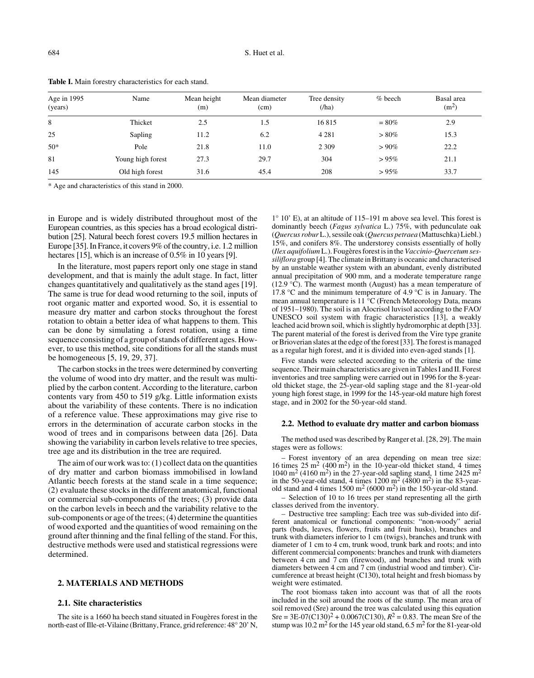| Age in $1995$<br>(years) | Name              | Mean height<br>(m) | Mean diameter<br>(cm) | Tree density<br>$(/\text{ha})$ | $%$ beech | Basal area<br>(m <sup>2</sup> ) |
|--------------------------|-------------------|--------------------|-----------------------|--------------------------------|-----------|---------------------------------|
| 8                        | Thicket           | 2.5                | 1.5                   | 16815                          | $= 80\%$  | 2.9                             |
| 25                       | Sapling           | 11.2               | 6.2                   | 4 2 8 1                        | $> 80\%$  | 15.3                            |
| $50*$                    | Pole              | 21.8               | 11.0                  | 2 3 0 9                        | $>90\%$   | 22.2                            |
| 81                       | Young high forest | 27.3               | 29.7                  | 304                            | $>95\%$   | 21.1                            |
| 145                      | Old high forest   | 31.6               | 45.4                  | 208                            | $>95\%$   | 33.7                            |

**Table I.** Main forestry characteristics for each stand.

\* Age and characteristics of this stand in 2000.

in Europe and is widely distributed throughout most of the European countries, as this species has a broad ecological distribution [25]. Natural beech forest covers 19.5 million hectares in Europe [35]. In France, it covers 9% of the country, i.e. 1.2 million hectares [15], which is an increase of 0.5% in 10 years [9].

In the literature, most papers report only one stage in stand development, and that is mainly the adult stage. In fact, litter changes quantitatively and qualitatively as the stand ages [19]. The same is true for dead wood returning to the soil, inputs of root organic matter and exported wood. So, it is essential to measure dry matter and carbon stocks throughout the forest rotation to obtain a better idea of what happens to them. This can be done by simulating a forest rotation, using a time sequence consisting of a group of stands of different ages. However, to use this method, site conditions for all the stands must be homogeneous [5, 19, 29, 37].

The carbon stocks in the trees were determined by converting the volume of wood into dry matter, and the result was multiplied by the carbon content. According to the literature, carbon contents vary from 450 to 519 g/kg. Little information exists about the variability of these contents. There is no indication of a reference value. These approximations may give rise to errors in the determination of accurate carbon stocks in the wood of trees and in comparisons between data [26]. Data showing the variability in carbon levels relative to tree species, tree age and its distribution in the tree are required.

The aim of our work was to: (1) collect data on the quantities of dry matter and carbon biomass immobilised in lowland Atlantic beech forests at the stand scale in a time sequence; (2) evaluate these stocks in the different anatomical, functional or commercial sub-components of the trees; (3) provide data on the carbon levels in beech and the variability relative to the sub-components or age of the trees; (4) determine the quantities of wood exported and the quantities of wood remaining on the ground after thinning and the final felling of the stand. For this, destructive methods were used and statistical regressions were determined.

# **2. MATERIALS AND METHODS**

## **2.1. Site characteristics**

The site is a 1660 ha beech stand situated in Fougères forest in the north-east of Ille-et-Vilaine (Brittany, France, grid reference: 48° 20' N,

1° 10' E), at an altitude of 115–191 m above sea level. This forest is dominantly beech (*Fagus sylvatica* L.) 75%, with pedunculate oak (*Quercus robur* L.), sessile oak (*Quercus petraea* (Mattuschka) Liebl.) 15%, and conifers 8%. The understorey consists essentially of holly (*Ilex aquifolium* L.). Fougères forest is in the *Vaccinio-Quercetum sessiliflora* group [4]. The climate in Brittany is oceanic and characterised by an unstable weather system with an abundant, evenly distributed annual precipitation of 900 mm, and a moderate temperature range (12.9 °C). The warmest month (August) has a mean temperature of 17.8 °C and the minimum temperature of 4.9 °C is in January. The mean annual temperature is 11 °C (French Meteorology Data, means of 1951–1980). The soil is an Alocrisol luvisol according to the FAO/ UNESCO soil system with fragic characteristics [13], a weakly leached acid brown soil, which is slightly hydromorphic at depth [33]. The parent material of the forest is derived from the Vire type granite or Brioverian slates at the edge of the forest [33]. The forest is managed as a regular high forest, and it is divided into even-aged stands [1].

Five stands were selected according to the criteria of the time sequence. Their main characteristics are given in Tables I and II. Forest inventories and tree sampling were carried out in 1996 for the 8-yearold thicket stage, the 25-year-old sapling stage and the 81-year-old young high forest stage, in 1999 for the 145-year-old mature high forest stage, and in 2002 for the 50-year-old stand.

## **2.2. Method to evaluate dry matter and carbon biomass**

The method used was described by Ranger et al. [28, 29]. The main stages were as follows:

– Forest inventory of an area depending on mean tree size: 16 times  $25 \text{ m}^2$  (400 m<sup>2</sup>) in the 10-year-old thicket stand, 4 times 1040 m<sup>2</sup> (4160 m<sup>2</sup>) in the 27-year-old sapling stand, 1 time 2425 m<sup>2</sup> in the 50-year-old stand, 4 times  $1200 \text{ m}^2$  (4800 m<sup>2</sup>) in the 83-yearold stand and 4 times  $1500 \text{ m}^2$  (6000 m<sup>2</sup>) in the 150-year-old stand.

– Selection of 10 to 16 trees per stand representing all the girth classes derived from the inventory.

– Destructive tree sampling: Each tree was sub-divided into different anatomical or functional components: "non-woody" aerial parts (buds, leaves, flowers, fruits and fruit husks), branches and trunk with diameters inferior to 1 cm (twigs), branches and trunk with diameter of 1 cm to 4 cm, trunk wood, trunk bark and roots; and into different commercial components: branches and trunk with diameters between 4 cm and 7 cm (firewood), and branches and trunk with diameters between 4 cm and 7 cm (industrial wood and timber). Circumference at breast height (C130), total height and fresh biomass by weight were estimated.

The root biomass taken into account was that of all the roots included in the soil around the roots of the stump. The mean area of soil removed (Sre) around the tree was calculated using this equation Sre =  $3E-07(C130)^2 + 0.0067(C130)$ ,  $R^2 = 0.83$ . The mean Sre of the stump was  $10.2 \text{ m}^2$  for the 145 year old stand, 6.5 m<sup>2</sup> for the 81-year-old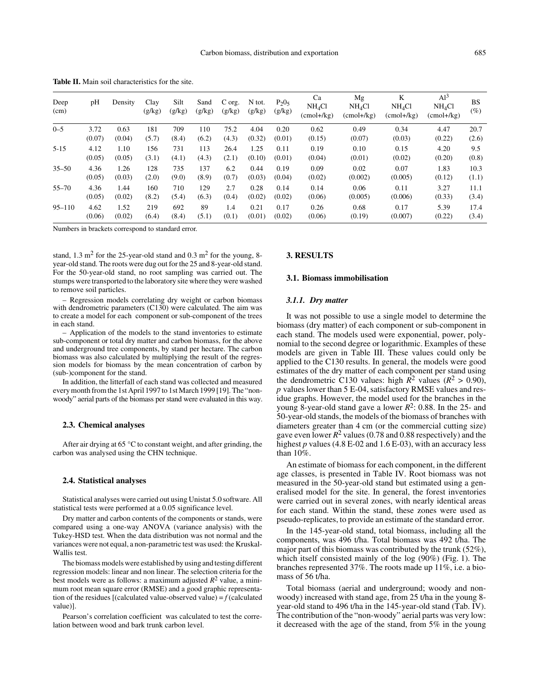| Deep<br>(cm) | pH     | Density | Clay<br>(g/kg) | Silt<br>(g/kg) | Sand<br>(g/kg) | C org.<br>(g/kg) | N tot.<br>(g/kg) | $P_2O_5$<br>(g/kg) | Ca<br>NH <sub>4</sub> Cl<br>$(cmol+/kg)$ | Mg<br>NH <sub>4</sub> Cl<br>(cmol+/kg) | K<br>NH <sub>4</sub> Cl<br>$(cmol+/kg)$ | Al <sup>3</sup><br>NH <sub>4</sub> Cl<br>$(cmol+/kg)$ | <b>BS</b><br>$(\%)$ |
|--------------|--------|---------|----------------|----------------|----------------|------------------|------------------|--------------------|------------------------------------------|----------------------------------------|-----------------------------------------|-------------------------------------------------------|---------------------|
| $0 - 5$      | 3.72   | 0.63    | 181            | 709            | 110            | 75.2             | 4.04             | 0.20               | 0.62                                     | 0.49                                   | 0.34                                    | 4.47                                                  | 20.7                |
|              | (0.07) | (0.04)  | (5.7)          | (8.4)          | (6.2)          | (4.3)            | (0.32)           | (0.01)             | (0.15)                                   | (0.07)                                 | (0.03)                                  | (0.22)                                                | (2.6)               |
| $5 - 15$     | 4.12   | 1.10    | 156            | 731            | 113            | 26.4             | 1.25             | 0.11               | 0.19                                     | 0.10                                   | 0.15                                    | 4.20                                                  | 9.5                 |
|              | (0.05) | (0.05)  | (3.1)          | (4.1)          | (4.3)          | (2.1)            | (0.10)           | (0.01)             | (0.04)                                   | (0.01)                                 | (0.02)                                  | (0.20)                                                | (0.8)               |
| $35 - 50$    | 4.36   | 1.26    | 128            | 735            | 137            | 6.2              | 0.44             | 0.19               | 0.09                                     | 0.02                                   | 0.07                                    | 1.83                                                  | 10.3                |
|              | (0.05) | (0.03)  | (2.0)          | (9.0)          | (8.9)          | (0.7)            | (0.03)           | (0.04)             | (0.02)                                   | (0.002)                                | (0.005)                                 | (0.12)                                                | (1.1)               |
| $55 - 70$    | 4.36   | 1.44    | 160            | 710            | 129            | 2.7              | 0.28             | 0.14               | 0.14                                     | 0.06                                   | 0.11                                    | 3.27                                                  | 11.1                |
|              | (0.05) | (0.02)  | (8.2)          | (5.4)          | (6.3)          | (0.4)            | (0.02)           | (0.02)             | (0.06)                                   | (0.005)                                | (0.006)                                 | (0.33)                                                | (3.4)               |
| $95 - 110$   | 4.62   | 1.52    | 219            | 692            | 89             | 1.4              | 0.21             | 0.17               | 0.26                                     | 0.68                                   | 0.17                                    | 5.39                                                  | 17.4                |
|              | (0.06) | (0.02)  | (6.4)          | (8.4)          | (5.1)          | (0.1)            | (0.01)           | (0.02)             | (0.06)                                   | (0.19)                                 | (0.007)                                 | (0.22)                                                | (3.4)               |

**Table II.** Main soil characteristics for the site.

Numbers in brackets correspond to standard error.

stand,  $1.3 \text{ m}^2$  for the 25-year-old stand and  $0.3 \text{ m}^2$  for the young, 8year-old stand. The roots were dug out for the 25 and 8-year-old stand. For the 50-year-old stand, no root sampling was carried out. The stumps were transported to the laboratory site where they were washed to remove soil particles.

– Regression models correlating dry weight or carbon biomass with dendrometric parameters (C130) were calculated. The aim was to create a model for each component or sub-component of the trees in each stand.

– Application of the models to the stand inventories to estimate sub-component or total dry matter and carbon biomass, for the above and underground tree components, by stand per hectare. The carbon biomass was also calculated by multiplying the result of the regression models for biomass by the mean concentration of carbon by (sub-)component for the stand.

In addition, the litterfall of each stand was collected and measured every month from the 1st April 1997 to 1st March 1999 [19]. The "nonwoody" aerial parts of the biomass per stand were evaluated in this way.

## **2.3. Chemical analyses**

After air drying at 65 °C to constant weight, and after grinding, the carbon was analysed using the CHN technique.

#### **2.4. Statistical analyses**

Statistical analyses were carried out using Unistat 5.0 software. All statistical tests were performed at a 0.05 significance level.

Dry matter and carbon contents of the components or stands, were compared using a one-way ANOVA (variance analysis) with the Tukey-HSD test. When the data distribution was not normal and the variances were not equal, a non-parametric test was used: the Kruskal-Wallis test.

The biomass models were established by using and testing different regression models: linear and non linear. The selection criteria for the best models were as follows: a maximum adjusted *R*2 value, a minimum root mean square error (RMSE) and a good graphic representation of the residues [(calculated value-observed value) =  $f$  (calculated value)].

Pearson's correlation coefficient was calculated to test the correlation between wood and bark trunk carbon level.

# **3. RESULTS**

## **3.1. Biomass immobilisation**

#### *3.1.1. Dry matter*

It was not possible to use a single model to determine the biomass (dry matter) of each component or sub-component in each stand. The models used were exponential, power, polynomial to the second degree or logarithmic. Examples of these models are given in Table III. These values could only be applied to the C130 results. In general, the models were good estimates of the dry matter of each component per stand using the dendrometric C130 values: high  $\tilde{R}^2$  values ( $\tilde{R}^2 > 0.90$ ), *p* values lower than 5 E-04, satisfactory RMSE values and residue graphs. However, the model used for the branches in the young 8-year-old stand gave a lower *R*2: 0.88. In the 25- and 50-year-old stands, the models of the biomass of branches with diameters greater than 4 cm (or the commercial cutting size) gave even lower  $R^2$  values (0.78 and 0.88 respectively) and the highest *p* values (4.8 E-02 and 1.6 E-03), with an accuracy less than 10%.

An estimate of biomass for each component, in the different age classes, is presented in Table IV. Root biomass was not measured in the 50-year-old stand but estimated using a generalised model for the site. In general, the forest inventories were carried out in several zones, with nearly identical areas for each stand. Within the stand, these zones were used as pseudo-replicates, to provide an estimate of the standard error.

In the 145-year-old stand, total biomass, including all the components, was 496 t/ha. Total biomass was 492 t/ha. The major part of this biomass was contributed by the trunk (52%), which itself consisted mainly of the log (90%) (Fig. 1). The branches represented 37%. The roots made up 11%, i.e. a biomass of 56 t/ha.

Total biomass (aerial and underground; woody and nonwoody) increased with stand age, from 25 t/ha in the young 8 year-old stand to 496 t/ha in the 145-year-old stand (Tab. IV). The contribution of the "non-woody" aerial parts was very low: it decreased with the age of the stand, from 5% in the young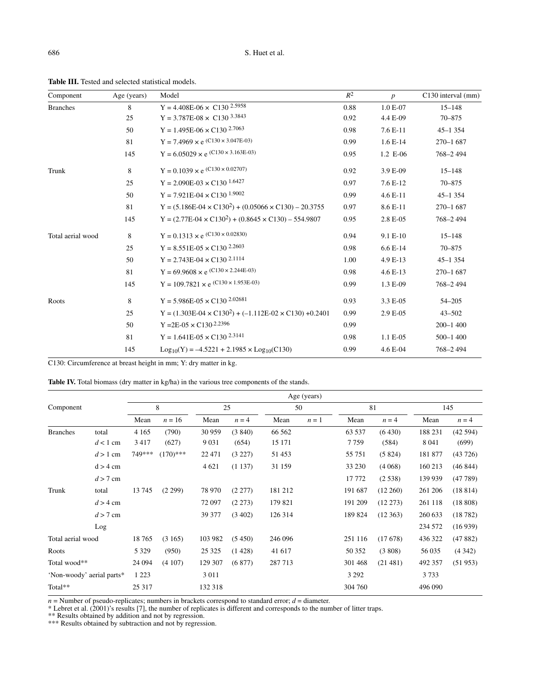| Component         | Age (years) | Model                                                                | $R^2$ | $\boldsymbol{p}$ | C130 interval (mm) |
|-------------------|-------------|----------------------------------------------------------------------|-------|------------------|--------------------|
| <b>Branches</b>   | 8           | $Y = 4.408E - 06 \times C130^{2.5958}$                               | 0.88  | 1.0 E-07         | $15 - 148$         |
|                   | 25          | $Y = 3.787E-08 \times C130^{3.3843}$                                 | 0.92  | 4.4 E-09         | 70-875             |
|                   | 50          | $Y = 1.495E-06 \times C130^{2.7063}$                                 | 0.98  | $7.6E-11$        | $45 - 1354$        |
|                   | 81          | $Y = 7.4969 \times e (C130 \times 3.047E-03)$                        | 0.99  | $1.6E-14$        | $270 - 1687$       |
|                   | 145         | Y = $6.05029 \times e$ (C130 × 3.163E-03)                            | 0.95  | 1.2 E-06         | 768-2494           |
| Trunk             | 8           | Y = 0.1039 $\times$ e $^{({\rm C130}\times \,0.02707)}$              | 0.92  | 3.9 E-09         | $15 - 148$         |
|                   | 25          | $Y = 2.090E - 03 \times C130^{1.6427}$                               | 0.97  | 7.6 E-12         | $70 - 875$         |
|                   | 50          | $Y = 7.921E - 04 \times C130^{1.9002}$                               | 0.99  | 4.6 E-11         | $45 - 1354$        |
|                   | 81          | $Y = (5.186E - 04 \times C130^2) + (0.05066 \times C130) - 20.3755$  | 0.97  | 8.6 E-11         | $270 - 1687$       |
|                   | 145         | $Y = (2.77E - 04 \times C130^{2}) + (0.8645 \times C130) - 554.9807$ | 0.95  | 2.8 E-05         | 768-2494           |
| Total aerial wood | 8           | $Y = 0.1313 \times e$ (C130 × 0.02830)                               | 0.94  | 9.1 E-10         | $15 - 148$         |
|                   | 25          | $Y = 8.551E - 0.5 \times C130^{2.2603}$                              | 0.98  | $6.6E-14$        | 70-875             |
|                   | 50          | $Y = 2.743E-04 \times C130^{2.1114}$                                 | 1.00  | 4.9 E-13         | $45 - 1354$        |
|                   | 81          | $Y = 69.9608 \times e$ (C130 × 2.244E-03)                            | 0.98  | $4.6E-13$        | $270 - 1687$       |
|                   | 145         | Y = 109.7821 $\times$ e $^{\textrm{(C130}}\times$ 1.953E-03)         | 0.99  | 1.3 E-09         | 768-2494           |
| Roots             | 8           | Y = $5.986E-05 \times C130^{2.02681}$                                | 0.93  | 3.3 E-05         | $54 - 205$         |
|                   | 25          | Y = $(1.303E-04 \times C130^2)$ + $(-1.112E-02 \times C130)$ +0.2401 | 0.99  | 2.9 E-05         | $43 - 502$         |
|                   | 50          | $Y = 2E - 05 \times C130^{2.2396}$                                   | 0.99  |                  | $200 - 1400$       |
|                   | 81          | Y = $1.641E-05 \times C130^{2.3141}$                                 | 0.98  | 1.1 E-05         | $500 - 1400$       |
|                   | 145         | $Log_{10}(Y) = -4.5221 + 2.1985 \times Log_{10}(C130)$               | 0.99  | 4.6 E-04         | 768-2494           |

**Table III.** Tested and selected statistical models.

C130: Circumference at breast height in mm; Y: dry matter in kg.

Table IV. Total biomass (dry matter in kg/ha) in the various tree components of the stands.

|                   |                           |         | Age (years) |          |          |         |       |         |             |         |         |  |  |  |  |
|-------------------|---------------------------|---------|-------------|----------|----------|---------|-------|---------|-------------|---------|---------|--|--|--|--|
| Component         |                           |         | 8           | 25       |          | 50      |       |         | 81          |         | 145     |  |  |  |  |
|                   |                           | Mean    | $n = 16$    | Mean     | $n = 4$  | Mean    | $n=1$ | Mean    | $n = 4$     | Mean    | $n = 4$ |  |  |  |  |
| <b>Branches</b>   | total                     | 4 1 6 5 | (790)       | 30 959   | (3840)   | 66 562  |       | 63 5 37 | (6430)      | 188 231 | (42594) |  |  |  |  |
|                   | $d < 1$ cm                | 3417    | (627)       | 9 0 3 1  | (654)    | 15 17 1 |       | 7759    | (584)       | 8 0 4 1 | (699)   |  |  |  |  |
|                   | $d > 1$ cm                | 749***  | $(170)$ *** | 22 4 7 1 | (3 227)  | 51453   |       | 55 751  | (5824)      | 181 877 | (43726) |  |  |  |  |
|                   | $d > 4$ cm                |         |             | 4 6 21   | (1137)   | 31 159  |       | 33 230  | (4.068)     | 160 213 | (46844) |  |  |  |  |
|                   | $d > 7$ cm                |         |             |          |          |         |       | 17 772  | (2.538)     | 139 939 | (47789) |  |  |  |  |
| Trunk             | total                     | 13 745  | (2 299)     | 78 970   | (2277)   | 181 212 |       | 191 687 | $(12\,260)$ | 261 206 | (18814) |  |  |  |  |
|                   | $d > 4$ cm                |         |             | 72 097   | (2 273)  | 179 821 |       | 191 209 | $(12\ 273)$ | 261 118 | (18808) |  |  |  |  |
|                   | $d > 7$ cm                |         |             | 39 377   | (3, 402) | 126 314 |       | 189 824 | (12363)     | 260 633 | (18782) |  |  |  |  |
|                   | Log                       |         |             |          |          |         |       |         |             | 234 572 | (16939) |  |  |  |  |
| Total aerial wood |                           | 18 765  | (3165)      | 103 982  | (5450)   | 246 096 |       | 251 116 | (17678)     | 436 322 | (47882) |  |  |  |  |
| Roots             |                           | 5 3 2 9 | (950)       | 25 3 25  | (1428)   | 41 617  |       | 50 352  | (3808)      | 56 035  | (4342)  |  |  |  |  |
| Total wood**      |                           | 24 094  | (4107)      | 129 307  | (6877)   | 287713  |       | 301 468 | (21481)     | 492 357 | (51953) |  |  |  |  |
|                   | 'Non-woody' aerial parts* | 1 2 2 3 |             | 3 0 1 1  |          |         |       | 3 2 9 2 |             | 3733    |         |  |  |  |  |
| Total**           |                           | 25 317  |             | 132 318  |          |         |       | 304 760 |             | 496 090 |         |  |  |  |  |

 $n =$  Number of pseudo-replicates; numbers in brackets correspond to standard error;  $d =$  diameter.

\* Lebret et al. (2001)'s results [7], the number of replicates is different and corresponds to the number of litter traps.

\*\* Results obtained by addition and not by regression.

\*\*\* Results obtained by subtraction and not by regression.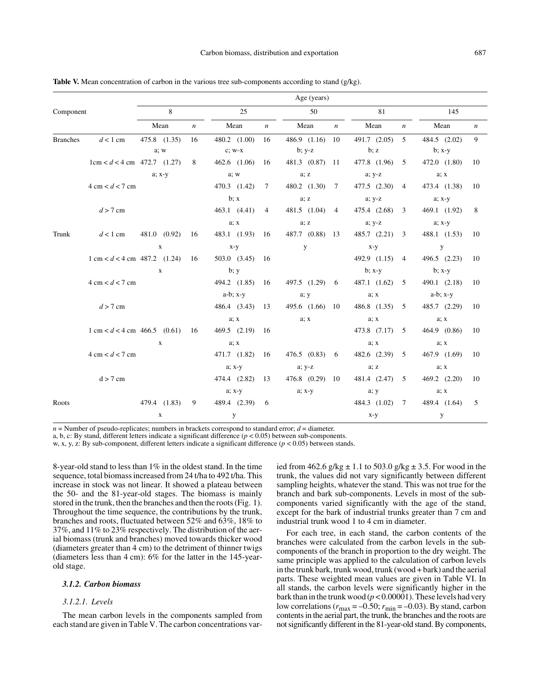|                                   |                                                |        |              |                  |                          |                             |                |                          | Age (years)  |                |             |                  |                |      |                  |     |
|-----------------------------------|------------------------------------------------|--------|--------------|------------------|--------------------------|-----------------------------|----------------|--------------------------|--------------|----------------|-------------|------------------|----------------|------|------------------|-----|
| Component                         |                                                | 8      |              |                  | 25                       |                             |                | 50                       |              | 81             |             |                  |                | 145  |                  |     |
|                                   |                                                | Mean   |              | $\boldsymbol{n}$ | Mean<br>$\boldsymbol{n}$ |                             |                | Mean<br>$\boldsymbol{n}$ |              | Mean           |             | $\boldsymbol{n}$ | Mean           |      | $\boldsymbol{n}$ |     |
| <b>Branches</b>                   | $d < 1$ cm                                     |        | 475.8 (1.35) | 16               |                          | 480.2 (1.00)                | 16             |                          | 486.9 (1.16) | 10             |             | 491.7 (2.05)     | $\overline{5}$ |      | 484.5 (2.02)     | 9   |
|                                   |                                                | a; w   |              |                  | $c$ ; $w-x$              |                             |                | $b; y-z$                 |              |                | b; z        |                  | $b$ ; x-y      |      |                  |     |
|                                   | $1 \text{cm} < d < 4 \text{cm}$ 472.7 (1.27)   |        |              | 8                |                          | $462.6$ $(1.06)$            | 16             |                          | 481.3 (0.87) | -11            |             | 477.8 (1.96)     | 5              |      | 472.0 $(1.80)$   | 10  |
|                                   |                                                | a; x-y |              |                  | a; w                     |                             |                | a; z                     |              |                | $a; y-z$    |                  |                | a; x |                  |     |
| $4 \text{ cm} < d < 7 \text{ cm}$ |                                                |        |              |                  |                          | 470.3 (1.42)                | 7              |                          | 480.2 (1.30) | 7              |             | 477.5 (2.30)     | 4              |      | 473.4 (1.38)     | 10  |
|                                   |                                                |        |              | $\mathbf{b}$ ; x |                          | a; z                        |                | $a; y-z$                 |              |                | $a$ ; $x-y$ |                  |                |      |                  |     |
| $d > 7$ cm                        |                                                |        |              |                  |                          | 463.1 (4.41)                | $\overline{4}$ |                          | 481.5 (1.04) | $\overline{4}$ |             | 475.4 (2.68)     | 3              |      | 469.1 (1.92)     | 8   |
|                                   |                                                |        |              |                  |                          | a; x                        |                |                          | a; z         |                |             | $a; y-z$         |                |      | a; x-y           |     |
| Trunk                             | $d < 1$ cm                                     |        | 481.0 (0.92) | 16               |                          | 483.1 (1.93)                | -16            |                          | 487.7 (0.88) | 13             |             | 485.7 (2.21)     | 3              |      | 488.1 (1.53)     | -10 |
|                                   |                                                |        | $\mathbf x$  |                  |                          | $x-y$                       |                |                          | y            |                | $x-y$       |                  |                |      | y                |     |
|                                   | $1 \text{ cm} < d < 4 \text{ cm}$ 487.2 (1.24) |        |              | 16               |                          | $503.0$ $(3.45)$            | - 16           |                          |              |                |             | 492.9 (1.15)     | $\overline{4}$ |      | $496.5$ $(2.23)$ | 10  |
|                                   |                                                |        | $\mathbf{x}$ |                  |                          | $\mathbf{b}$ ; $\mathbf{y}$ |                |                          |              |                | $b$ ; x-y   |                  |                |      | $b$ ; $x-y$      |     |
|                                   | $4 \text{ cm} < d < 7 \text{ cm}$              |        |              |                  |                          | 494.2 (1.85)                | -16            |                          | 497.5 (1.29) | 6              |             | 487.1 (1.62)     | 5              |      | 490.1 (2.18)     | -10 |
|                                   |                                                |        |              |                  |                          | $a-b$ ; $x-y$               |                |                          | a; y         |                |             | a; x             |                |      | $a-b$ ; $x-y$    |     |
|                                   | $d > 7$ cm                                     |        |              |                  |                          | 486.4 (3.43)                | 13             |                          | 495.6 (1.66) | - 10           |             | 486.8 (1.35)     | 5              |      | 485.7 (2.29)     | -10 |
|                                   |                                                |        |              |                  |                          | a; x                        |                |                          | a; x         |                |             | a; x             |                |      | a; x             |     |
|                                   | $1 \text{ cm} < d < 4 \text{ cm}$ 466.5 (0.61) |        |              | 16               |                          | 469.5 (2.19) 16             |                |                          |              |                |             | 473.8 (7.17)     | 5              |      | 464.9 (0.86)     | -10 |
|                                   |                                                |        | $\mathbf{x}$ |                  |                          | a; x                        |                |                          |              |                |             | a; x             |                |      | a; x             |     |
|                                   | $4 \text{ cm} < d < 7 \text{ cm}$              |        |              |                  |                          | 471.7 (1.82)                | -16            |                          | 476.5 (0.83) | 6              |             | 482.6 (2.39)     | 5              |      | 467.9 (1.69)     | -10 |
|                                   |                                                |        |              |                  |                          | $a$ ; $x-y$                 |                |                          | $a; y-z$     |                |             | a; z             |                |      | a; x             |     |
|                                   | $d > 7$ cm                                     |        |              |                  |                          | 474.4 (2.82)                | 13             |                          | 476.8 (0.29) | -10            |             | 481.4 (2.47)     | 5              |      | 469.2 (2.20)     | 10  |
|                                   |                                                |        |              |                  |                          | a; x-y                      |                |                          | $a; x-y$     |                | a; y        |                  |                |      | a; x             |     |
| Roots                             |                                                |        | 479.4 (1.83) | 9                |                          | 489.4 (2.39)                | -6             |                          |              |                |             | 484.3 (1.02)     | 7              |      | 489.4 (1.64)     | 5   |
|                                   |                                                |        | $\mathbf x$  |                  |                          | У                           |                |                          |              |                | $x-y$       |                  |                |      | y                |     |

**Table V.** Mean concentration of carbon in the various tree sub-components according to stand (g/kg).

 $n =$  Number of pseudo-replicates; numbers in brackets correspond to standard error;  $d =$  diameter.

a, b, c: By stand, different letters indicate a significant difference  $(p < 0.05)$  between sub-components.

w, x, y, z: By sub-component, different letters indicate a significant difference (*p* < 0.05) between stands.

8-year-old stand to less than 1% in the oldest stand. In the time sequence, total biomass increased from 24 t/ha to 492 t/ha. This increase in stock was not linear. It showed a plateau between the 50- and the 81-year-old stages. The biomass is mainly stored in the trunk, then the branches and then the roots (Fig. 1). Throughout the time sequence, the contributions by the trunk, branches and roots, fluctuated between 52% and 63%, 18% to 37%, and 11% to 23% respectively. The distribution of the aerial biomass (trunk and branches) moved towards thicker wood (diameters greater than 4 cm) to the detriment of thinner twigs (diameters less than 4 cm): 6% for the latter in the 145-yearold stage.

## *3.1.2. Carbon biomass*

# *3.1.2.1. Levels*

The mean carbon levels in the components sampled from each stand are given in Table V. The carbon concentrations varied from  $462.6$  g/kg  $\pm 1.1$  to  $503.0$  g/kg  $\pm 3.5$ . For wood in the trunk, the values did not vary significantly between different sampling heights, whatever the stand. This was not true for the branch and bark sub-components. Levels in most of the subcomponents varied significantly with the age of the stand, except for the bark of industrial trunks greater than 7 cm and industrial trunk wood 1 to 4 cm in diameter.

For each tree, in each stand, the carbon contents of the branches were calculated from the carbon levels in the subcomponents of the branch in proportion to the dry weight. The same principle was applied to the calculation of carbon levels in the trunk bark, trunk wood, trunk (wood + bark) and the aerial parts. These weighted mean values are given in Table VI. In all stands, the carbon levels were significantly higher in the bark than in the trunk wood  $(p < 0.00001)$ . These levels had very low correlations ( $r_{\text{max}} = -0.50$ ;  $r_{\text{min}} = -0.03$ ). By stand, carbon contents in the aerial part, the trunk, the branches and the roots are not significantly different in the 81-year-old stand. By components,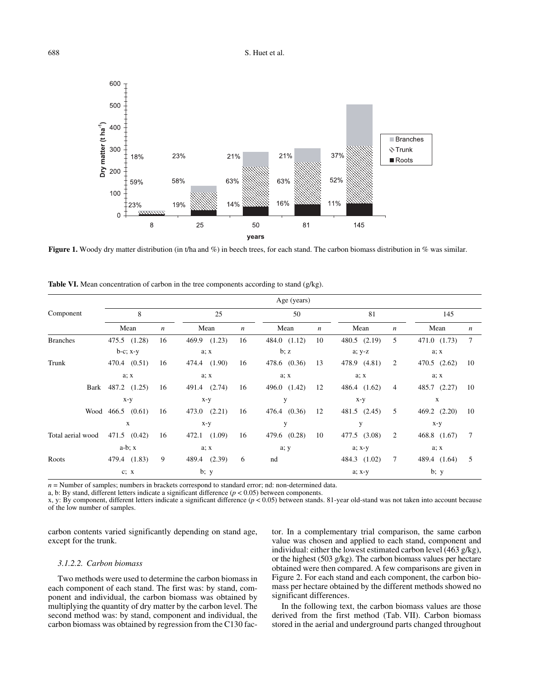

**Figure 1.** Woody dry matter distribution (in t/ha and %) in beech trees, for each stand. The carbon biomass distribution in % was similar.

|                   |                       | Age (years)      |                  |                  |                 |                  |                 |                  |              |                  |  |  |  |  |  |
|-------------------|-----------------------|------------------|------------------|------------------|-----------------|------------------|-----------------|------------------|--------------|------------------|--|--|--|--|--|
| Component         | 8                     |                  | 25               |                  | 50              |                  | 81              |                  | 145          |                  |  |  |  |  |  |
|                   | Mean                  | $\boldsymbol{n}$ | Mean             | $\boldsymbol{n}$ | Mean            | $\boldsymbol{n}$ | Mean            | $\boldsymbol{n}$ | Mean         | $\boldsymbol{n}$ |  |  |  |  |  |
| <b>Branches</b>   | 475.5 (1.28)          | 16               | 469.9 (1.23)     | 16               | 484.0 (1.12)    | 10               | 480.5 (2.19)    | 5                | 471.0 (1.73) | $7\phantom{.0}$  |  |  |  |  |  |
|                   | $b-c$ ; $x-y$         |                  | a; x             |                  | b; z            |                  | $a; y-z$        |                  | a; x         |                  |  |  |  |  |  |
| Trunk             | 470.4 (0.51)          | 16               | 474.4 (1.90)     | 16               | 478.6 (0.36)    | 13               | 478.9 (4.81)    | 2                | 470.5 (2.62) | 10               |  |  |  |  |  |
|                   | a; x                  |                  | a; x             |                  | a; x            |                  | a; x            |                  | a; x         |                  |  |  |  |  |  |
|                   | Bark 487.2 (1.25)     | 16               | 491.4 (2.74)     | 16               | 496.0 $(1.42)$  | 12               | 486.4 (1.62)    | 4                | 485.7 (2.27) | 10               |  |  |  |  |  |
|                   | x-y                   |                  |                  | $x-y$            |                 | y                |                 |                  | X            |                  |  |  |  |  |  |
|                   | Wood $466.5$ $(0.61)$ | 16               | $473.0$ $(2.21)$ | 16               | (0.36)<br>476.4 | 12               | 481.5<br>(2.45) | 5                | 469.2 (2.20) | 10               |  |  |  |  |  |
|                   | $\mathbf{x}$          |                  |                  | $x-y$            |                 | y                |                 |                  | $x-y$        |                  |  |  |  |  |  |
| Total aerial wood | 471.5 (0.42)          | 16               | 472.1 (1.09)     | 16               | 479.6 (0.28)    | 10               | 477.5 (3.08)    | $\overline{c}$   | 468.8 (1.67) | $7\phantom{.0}$  |  |  |  |  |  |
|                   | $a-b; x$              |                  |                  | a; x             |                 |                  | a; x-y          |                  | a; x         |                  |  |  |  |  |  |
| Roots             | 479.4 (1.83)          | 9                | 489.4 (2.39)     | 6                | nd              |                  | 484.3 (1.02)    | $\overline{7}$   | 489.4 (1.64) | 5                |  |  |  |  |  |
|                   | c; x                  |                  | b; y             |                  |                 |                  | a; x-y          |                  | b; y         |                  |  |  |  |  |  |

**Table VI.** Mean concentration of carbon in the tree components according to stand (g/kg).

*n* = Number of samples; numbers in brackets correspond to standard error; nd: non-determined data.

a, b: By stand, different letters indicate a significant difference  $(p < 0.05)$  between components.

x, y: By component, different letters indicate a significant difference (*p* < 0.05) between stands. 81-year old-stand was not taken into account because of the low number of samples.

carbon contents varied significantly depending on stand age, except for the trunk.

#### *3.1.2.2. Carbon biomass*

Two methods were used to determine the carbon biomass in each component of each stand. The first was: by stand, component and individual, the carbon biomass was obtained by multiplying the quantity of dry matter by the carbon level. The second method was: by stand, component and individual, the carbon biomass was obtained by regression from the C130 fac-

tor. In a complementary trial comparison, the same carbon value was chosen and applied to each stand, component and individual: either the lowest estimated carbon level (463 g/kg), or the highest (503 g/kg). The carbon biomass values per hectare obtained were then compared. A few comparisons are given in Figure 2. For each stand and each component, the carbon biomass per hectare obtained by the different methods showed no significant differences.

In the following text, the carbon biomass values are those derived from the first method (Tab. VII). Carbon biomass stored in the aerial and underground parts changed throughout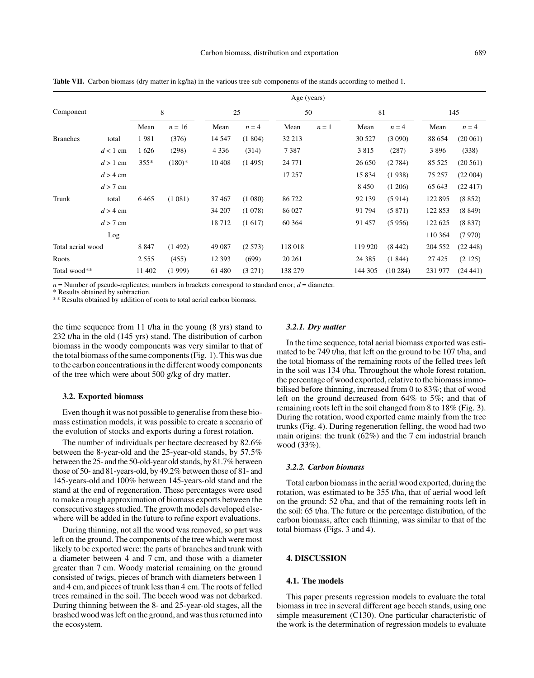|                   |            | Age (years) |          |         |         |          |       |          |         |         |          |  |  |  |
|-------------------|------------|-------------|----------|---------|---------|----------|-------|----------|---------|---------|----------|--|--|--|
| Component         |            | 8           |          |         | 25      | 50       |       | 81       |         |         | 145      |  |  |  |
|                   |            | Mean        | $n = 16$ | Mean    | $n = 4$ | Mean     | $n=1$ | Mean     | $n = 4$ | Mean    | $n = 4$  |  |  |  |
| <b>Branches</b>   | total      | 1981        | (376)    | 14 5 47 | (1804)  | 32 213   |       | 30 5 27  | (3090)  | 88 654  | (20061)  |  |  |  |
|                   | $d < 1$ cm | 1626        | (298)    | 4 3 3 6 | (314)   | 7387     |       | 3815     | (287)   | 3896    | (338)    |  |  |  |
|                   | $d > 1$ cm | $355*$      | $(180)*$ | 10 40 8 | (1495)  | 24 7 7 1 |       | 26 650   | (2784)  | 85 5 25 | (20 561) |  |  |  |
|                   | $d > 4$ cm |             |          |         |         | 17 257   |       | 15 8 34  | (1938)  | 75 257  | (22004)  |  |  |  |
|                   | $d > 7$ cm |             |          |         |         |          |       | 8 4 5 0  | (1206)  | 65 643  | (22417)  |  |  |  |
| Trunk             | total      | 6465        | (1081)   | 37467   | (1080)  | 86 722   |       | 92 139   | (5914)  | 122 895 | (8852)   |  |  |  |
|                   | $d > 4$ cm |             |          | 34 207  | (1078)  | 86 027   |       | 91 794   | (5871)  | 122 853 | (8849)   |  |  |  |
|                   | $d > 7$ cm |             |          | 18712   | (1617)  | 60 364   |       | 91 457   | (5956)  | 122 625 | (8837)   |  |  |  |
|                   | Log        |             |          |         |         |          |       |          |         | 110 364 | (7970)   |  |  |  |
| Total aerial wood |            | 8 8 4 7     | (1492)   | 49 087  | (2573)  | 118 018  |       | 119 920  | (8442)  | 204 552 | (22448)  |  |  |  |
| Roots             |            | 2 5 5 5     | (455)    | 12 3 93 | (699)   | 20 26 1  |       | 24 3 8 5 | (1844)  | 27 4 25 | (2125)   |  |  |  |
| Total wood**      |            | 11 402      | (1999)   | 61 480  | (3 271) | 138 279  |       | 144 305  | (10284) | 231 977 | (24441)  |  |  |  |

**Table VII.** Carbon biomass (dry matter in kg/ha) in the various tree sub-components of the stands according to method 1.

 $n =$  Number of pseudo-replicates; numbers in brackets correspond to standard error;  $d =$  diameter.

\* Results obtained by subtraction.

\*\* Results obtained by addition of roots to total aerial carbon biomass.

the time sequence from 11 t/ha in the young (8 yrs) stand to 232 t/ha in the old (145 yrs) stand. The distribution of carbon biomass in the woody components was very similar to that of the total biomass of the same components (Fig. 1). This was due to the carbon concentrations in the different woody components of the tree which were about 500 g/kg of dry matter.

#### **3.2. Exported biomass**

Even though it was not possible to generalise from these biomass estimation models, it was possible to create a scenario of the evolution of stocks and exports during a forest rotation.

The number of individuals per hectare decreased by 82.6% between the 8-year-old and the 25-year-old stands, by 57.5% between the 25- and the 50-old-year old stands, by 81.7% between those of 50- and 81-years-old, by 49.2% between those of 81- and 145-years-old and 100% between 145-years-old stand and the stand at the end of regeneration. These percentages were used to make a rough approximation of biomass exports between the consecutive stages studied. The growth models developed elsewhere will be added in the future to refine export evaluations.

During thinning, not all the wood was removed, so part was left on the ground. The components of the tree which were most likely to be exported were: the parts of branches and trunk with a diameter between 4 and 7 cm, and those with a diameter greater than 7 cm. Woody material remaining on the ground consisted of twigs, pieces of branch with diameters between 1 and 4 cm, and pieces of trunk less than 4 cm. The roots of felled trees remained in the soil. The beech wood was not debarked. During thinning between the 8- and 25-year-old stages, all the brashed wood was left on the ground, and was thus returned into the ecosystem.

#### *3.2.1. Dry matter*

In the time sequence, total aerial biomass exported was estimated to be 749 t/ha, that left on the ground to be 107 t/ha, and the total biomass of the remaining roots of the felled trees left in the soil was 134 t/ha. Throughout the whole forest rotation, the percentage of wood exported, relative to the biomass immobilised before thinning, increased from 0 to 83%; that of wood left on the ground decreased from 64% to 5%; and that of remaining roots left in the soil changed from 8 to 18% (Fig. 3). During the rotation, wood exported came mainly from the tree trunks (Fig. 4). During regeneration felling, the wood had two main origins: the trunk (62%) and the 7 cm industrial branch wood (33%).

## *3.2.2. Carbon biomass*

Total carbon biomass in the aerial wood exported, during the rotation, was estimated to be 355 t/ha, that of aerial wood left on the ground: 52 t/ha, and that of the remaining roots left in the soil: 65 t/ha. The future or the percentage distribution, of the carbon biomass, after each thinning, was similar to that of the total biomass (Figs. 3 and 4).

# **4. DISCUSSION**

# **4.1. The models**

This paper presents regression models to evaluate the total biomass in tree in several different age beech stands, using one simple measurement (C130). One particular characteristic of the work is the determination of regression models to evaluate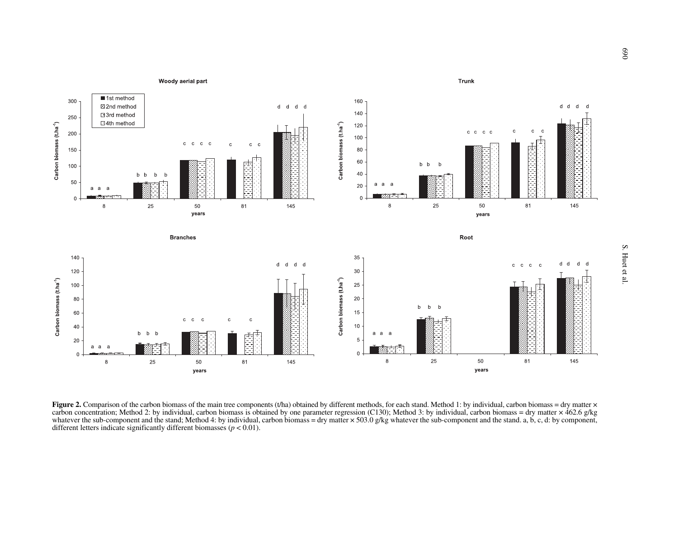

**Figure 2.** Comparison of the carbon biomass of the main tree components (t/ha) obtained by different methods, for each stand. Method 1: by individual, carbon biomass = dry matter  $\times$ carbon concentration; Method 2: by individual, carbon biomass is obtained by one parameter regression (C130); Method 3: by individual, carbon biomass = dry matter × 462.6 g/kg whatever the sub-component and the stand; Method 4: by individual, carbon biomass = dry matter × 503.0 g/kg whatever the sub-component and the stand. a, b, c, d: by component, different letters indicate significantly different biomasses  $(p < 0.01)$ .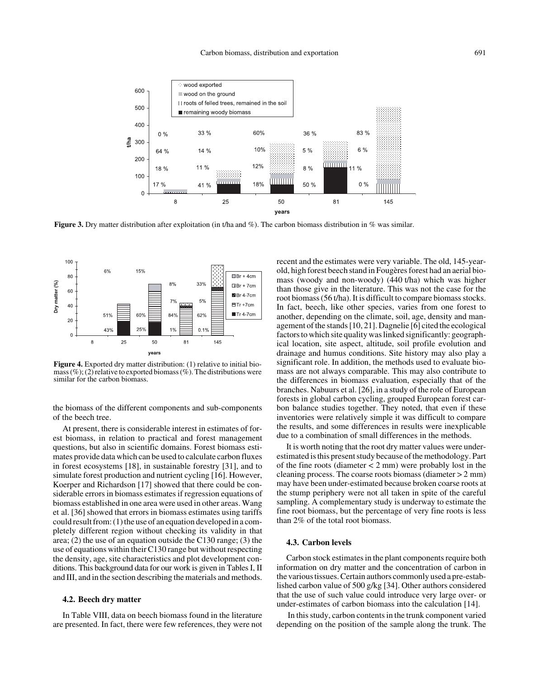

**Figure 3.** Dry matter distribution after exploitation (in t/ha and %). The carbon biomass distribution in % was similar.



**Figure 4.** Exported dry matter distribution: (1) relative to initial biomass  $(\%)$ ; (2) relative to exported biomass (%). The distributions were similar for the carbon biomass.

the biomass of the different components and sub-components of the beech tree.

At present, there is considerable interest in estimates of forest biomass, in relation to practical and forest management questions, but also in scientific domains. Forest biomass estimates provide data which can be used to calculate carbon fluxes in forest ecosystems [18], in sustainable forestry [31], and to simulate forest production and nutrient cycling [16]. However, Koerper and Richardson [17] showed that there could be considerable errors in biomass estimates if regression equations of biomass established in one area were used in other areas. Wang et al. [36] showed that errors in biomass estimates using tariffs could result from: (1) the use of an equation developed in a completely different region without checking its validity in that area; (2) the use of an equation outside the C130 range; (3) the use of equations within their C130 range but without respecting the density, age, site characteristics and plot development conditions. This background data for our work is given in Tables I, II and III, and in the section describing the materials and methods.

#### **4.2. Beech dry matter**

In Table VIII, data on beech biomass found in the literature are presented. In fact, there were few references, they were not recent and the estimates were very variable. The old, 145-yearold, high forest beech stand in Fougères forest had an aerial biomass (woody and non-woody) (440 t/ha) which was higher than those give in the literature. This was not the case for the root biomass (56 t/ha). It is difficult to compare biomass stocks. In fact, beech, like other species, varies from one forest to another, depending on the climate, soil, age, density and management of the stands [10, 21]. Dagnelie [6] cited the ecological factors to which site quality was linked significantly: geographical location, site aspect, altitude, soil profile evolution and drainage and humus conditions. Site history may also play a significant role. In addition, the methods used to evaluate biomass are not always comparable. This may also contribute to the differences in biomass evaluation, especially that of the branches. Nabuurs et al. [26], in a study of the role of European forests in global carbon cycling, grouped European forest carbon balance studies together. They noted, that even if these inventories were relatively simple it was difficult to compare the results, and some differences in results were inexplicable due to a combination of small differences in the methods.

It is worth noting that the root dry matter values were underestimated is this present study because of the methodology. Part of the fine roots (diameter  $<$  2 mm) were probably lost in the cleaning process. The coarse roots biomass (diameter > 2 mm) may have been under-estimated because broken coarse roots at the stump periphery were not all taken in spite of the careful sampling. A complementary study is underway to estimate the fine root biomass, but the percentage of very fine roots is less than 2% of the total root biomass.

## **4.3. Carbon levels**

Carbon stock estimates in the plant components require both information on dry matter and the concentration of carbon in the various tissues. Certain authors commonly used a pre-established carbon value of 500 g/kg [34]. Other authors considered that the use of such value could introduce very large over- or under-estimates of carbon biomass into the calculation [14].

 In this study, carbon contents in the trunk component varied depending on the position of the sample along the trunk. The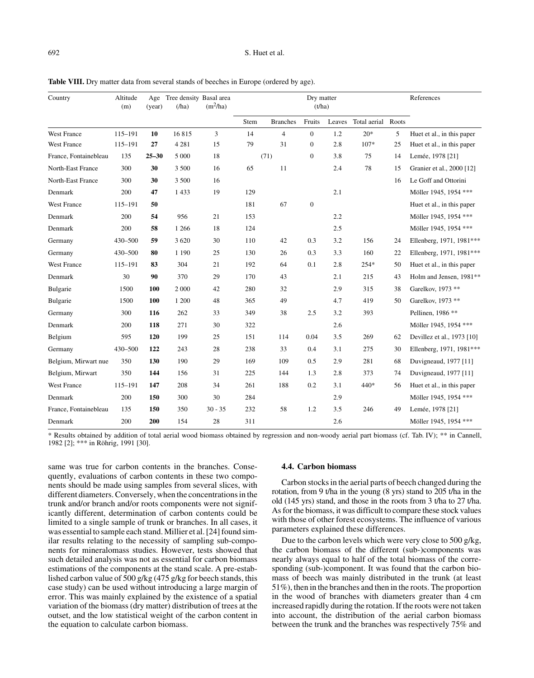# 692 S. Huet et al.

| Country               | Altitude<br>(m) | (year)    | Age Tree density Basal area<br>(ha) | $(m^2/ha)$ |      |                 | Dry matter<br>(t/ha) |        |                    |    | References                 |
|-----------------------|-----------------|-----------|-------------------------------------|------------|------|-----------------|----------------------|--------|--------------------|----|----------------------------|
|                       |                 |           |                                     |            | Stem | <b>Branches</b> | Fruits               | Leaves | Total aerial Roots |    |                            |
| <b>West France</b>    | 115-191         | 10        | 16815                               | 3          | 14   | $\overline{4}$  | $\mathbf{0}$         | 1.2    | $20*$              | 5  | Huet et al., in this paper |
| <b>West France</b>    | 115-191         | 27        | 4 2 8 1                             | 15         | 79   | 31              | $\mathbf{0}$         | 2.8    | $107*$             | 25 | Huet et al., in this paper |
| France, Fontainebleau | 135             | $25 - 30$ | 5 0 0 0                             | 18         |      | (71)            | $\mathbf{0}$         | 3.8    | 75                 | 14 | Lemée, 1978 [21]           |
| North-East France     | 300             | 30        | 3 500                               | 16         | 65   | 11              |                      | 2.4    | 78                 | 15 | Granier et al., 2000 [12]  |
| North-East France     | 300             | 30        | 3 500                               | 16         |      |                 |                      |        |                    | 16 | Le Goff and Ottorini       |
| Denmark               | 200             | 47        | 1433                                | 19         | 129  |                 |                      | 2.1    |                    |    | Möller 1945, 1954 ***      |
| <b>West France</b>    | 115-191         | 50        |                                     |            | 181  | 67              | $\mathbf{0}$         |        |                    |    | Huet et al., in this paper |
| Denmark               | 200             | 54        | 956                                 | 21         | 153  |                 |                      | 2.2    |                    |    | Möller 1945, 1954 ***      |
| Denmark               | 200             | 58        | 1 2 6 6                             | 18         | 124  |                 |                      | 2.5    |                    |    | Möller 1945, 1954 ***      |
| Germany               | 430-500         | 59        | 3 6 20                              | 30         | 110  | 42              | 0.3                  | 3.2    | 156                | 24 | Ellenberg, 1971, 1981***   |
| Germany               | 430-500         | 80        | 1 1 9 0                             | 25         | 130  | 26              | 0.3                  | 3.3    | 160                | 22 | Ellenberg, 1971, 1981***   |
| West France           | 115-191         | 83        | 304                                 | 21         | 192  | 64              | 0.1                  | 2.8    | 254*               | 50 | Huet et al., in this paper |
| Denmark               | 30              | 90        | 370                                 | 29         | 170  | 43              |                      | 2.1    | 215                | 43 | Holm and Jensen, 1981**    |
| Bulgarie              | 1500            | 100       | 2 0 0 0                             | 42         | 280  | 32              |                      | 2.9    | 315                | 38 | Garelkov, 1973 **          |
| Bulgarie              | 1500            | 100       | 1 200                               | 48         | 365  | 49              |                      | 4.7    | 419                | 50 | Garelkov, 1973 **          |
| Germany               | 300             | 116       | 262                                 | 33         | 349  | 38              | 2.5                  | 3.2    | 393                |    | Pellinen, 1986 **          |
| Denmark               | 200             | 118       | 271                                 | 30         | 322  |                 |                      | 2.6    |                    |    | Möller 1945, 1954 ***      |
| Belgium               | 595             | 120       | 199                                 | 25         | 151  | 114             | 0.04                 | 3.5    | 269                | 62 | Devillez et al., 1973 [10] |
| Germany               | 430-500         | 122       | 243                                 | 28         | 238  | 33              | 0.4                  | 3.1    | 275                | 30 | Ellenberg, 1971, 1981***   |
| Belgium, Mirwart nue  | 350             | 130       | 190                                 | 29         | 169  | 109             | 0.5                  | 2.9    | 281                | 68 | Duvigneaud, 1977 [11]      |
| Belgium, Mirwart      | 350             | 144       | 156                                 | 31         | 225  | 144             | 1.3                  | 2.8    | 373                | 74 | Duvigneaud, 1977 [11]      |
| <b>West France</b>    | 115-191         | 147       | 208                                 | 34         | 261  | 188             | 0.2                  | 3.1    | 440*               | 56 | Huet et al., in this paper |
| Denmark               | 200             | 150       | 300                                 | 30         | 284  |                 |                      | 2.9    |                    |    | Möller 1945, 1954 ***      |
| France, Fontainebleau | 135             | 150       | 350                                 | $30 - 35$  | 232  | 58              | 1.2                  | 3.5    | 246                | 49 | Lemée, 1978 [21]           |
| Denmark               | 200             | 200       | 154                                 | 28         | 311  |                 |                      | 2.6    |                    |    | Möller 1945, 1954 ***      |

Table VIII. Dry matter data from several stands of beeches in Europe (ordered by age).

\* Results obtained by addition of total aerial wood biomass obtained by regression and non-woody aerial part biomass (cf. Tab. IV); \*\* in Cannell, 1982 [2]; \*\*\* in Röhrig, 1991 [30].

same was true for carbon contents in the branches. Consequently, evaluations of carbon contents in these two components should be made using samples from several slices, with different diameters. Conversely, when the concentrations in the trunk and/or branch and/or roots components were not significantly different, determination of carbon contents could be limited to a single sample of trunk or branches. In all cases, it was essential to sample each stand. Millier et al. [24] found similar results relating to the necessity of sampling sub-components for mineralomass studies. However, tests showed that such detailed analysis was not as essential for carbon biomass estimations of the components at the stand scale. A pre-established carbon value of 500 g/kg (475 g/kg for beech stands, this case study) can be used without introducing a large margin of error. This was mainly explained by the existence of a spatial variation of the biomass (dry matter) distribution of trees at the outset, and the low statistical weight of the carbon content in the equation to calculate carbon biomass.

# **4.4. Carbon biomass**

Carbon stocks in the aerial parts of beech changed during the rotation, from 9 t/ha in the young (8 yrs) stand to 205 t/ha in the old (145 yrs) stand, and those in the roots from 3 t/ha to 27 t/ha. As for the biomass, it was difficult to compare these stock values with those of other forest ecosystems. The influence of various parameters explained these differences.

Due to the carbon levels which were very close to 500 g/kg, the carbon biomass of the different (sub-)components was nearly always equal to half of the total biomass of the corresponding (sub-)component. It was found that the carbon biomass of beech was mainly distributed in the trunk (at least 51%), then in the branches and then in the roots. The proportion in the wood of branches with diameters greater than 4 cm increased rapidly during the rotation. If the roots were not taken into account, the distribution of the aerial carbon biomass between the trunk and the branches was respectively 75% and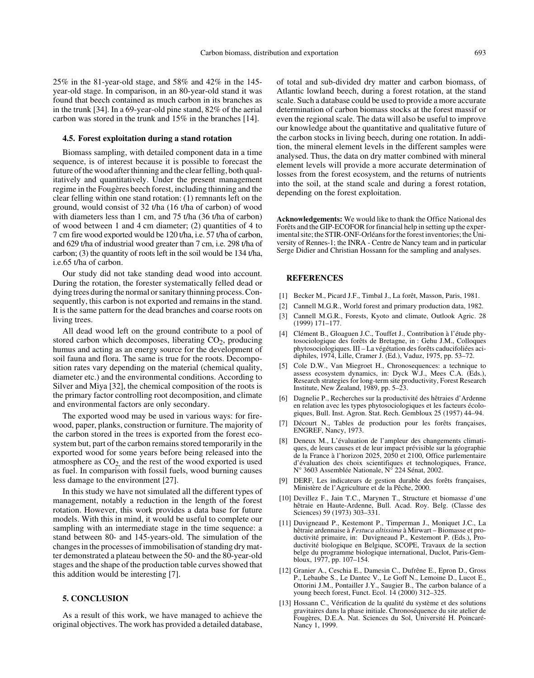25% in the 81-year-old stage, and 58% and 42% in the 145 year-old stage. In comparison, in an 80-year-old stand it was found that beech contained as much carbon in its branches as in the trunk [34]. In a 69-year-old pine stand, 82% of the aerial carbon was stored in the trunk and 15% in the branches [14].

#### **4.5. Forest exploitation during a stand rotation**

Biomass sampling, with detailed component data in a time sequence, is of interest because it is possible to forecast the future of the wood after thinning and the clear felling, both qualitatively and quantitatively. Under the present management regime in the Fougères beech forest, including thinning and the clear felling within one stand rotation: (1) remnants left on the ground, would consist of 32 t/ha (16 t/ha of carbon) of wood with diameters less than 1 cm, and 75 t/ha (36 t/ha of carbon) of wood between 1 and 4 cm diameter; (2) quantities of 4 to 7 cm fire wood exported would be 120 t/ha, i.e. 57 t/ha of carbon, and 629 t/ha of industrial wood greater than 7 cm, i.e. 298 t/ha of carbon; (3) the quantity of roots left in the soil would be 134 t/ha, i.e.65 t/ha of carbon.

Our study did not take standing dead wood into account. During the rotation, the forester systematically felled dead or dying trees during the normal or sanitary thinning process. Consequently, this carbon is not exported and remains in the stand. It is the same pattern for the dead branches and coarse roots on living trees.

All dead wood left on the ground contribute to a pool of stored carbon which decomposes, liberating  $CO<sub>2</sub>$ , producing humus and acting as an energy source for the development of soil fauna and flora. The same is true for the roots. Decomposition rates vary depending on the material (chemical quality, diameter etc.) and the environmental conditions. According to Silver and Miya [32], the chemical composition of the roots is the primary factor controlling root decomposition, and climate and environmental factors are only secondary.

The exported wood may be used in various ways: for firewood, paper, planks, construction or furniture. The majority of the carbon stored in the trees is exported from the forest ecosystem but, part of the carbon remains stored temporarily in the exported wood for some years before being released into the atmosphere as  $CO<sub>2</sub>$  and the rest of the wood exported is used as fuel. In comparison with fossil fuels, wood burning causes less damage to the environment [27].

In this study we have not simulated all the different types of management, notably a reduction in the length of the forest rotation. However, this work provides a data base for future models. With this in mind, it would be useful to complete our sampling with an intermediate stage in the time sequence: a stand between 80- and 145-years-old. The simulation of the changes in the processes of immobilisation of standing dry matter demonstrated a plateau between the 50- and the 80-year-old stages and the shape of the production table curves showed that this addition would be interesting [7].

## **5. CONCLUSION**

As a result of this work, we have managed to achieve the original objectives. The work has provided a detailed database,

of total and sub-divided dry matter and carbon biomass, of Atlantic lowland beech, during a forest rotation, at the stand scale. Such a database could be used to provide a more accurate determination of carbon biomass stocks at the forest massif or even the regional scale. The data will also be useful to improve our knowledge about the quantitative and qualitative future of the carbon stocks in living beech, during one rotation. In addition, the mineral element levels in the different samples were analysed. Thus, the data on dry matter combined with mineral element levels will provide a more accurate determination of losses from the forest ecosystem, and the returns of nutrients into the soil, at the stand scale and during a forest rotation, depending on the forest exploitation.

**Acknowledgements:** We would like to thank the Office National des Forêts and the GIP-ECOFOR for financial help in setting up the experimental site; the STIR-ONF-Orléans for the forest inventories; the University of Rennes-1; the INRA - Centre de Nancy team and in particular Serge Didier and Christian Hossann for the sampling and analyses.

## **REFERENCES**

- [1] Becker M., Picard J.F., Timbal J., La forêt, Masson, Paris, 1981.
- [2] Cannell M.G.R., World forest and primary production data, 1982.
- [3] Cannell M.G.R., Forests, Kyoto and climate, Outlook Agric. 28 (1999) 171–177.
- [4] Clément B., Gloaguen J.C., Touffet J., Contribution à l'étude phytosociologique des forêts de Bretagne, in : Gehu J.M., Colloques phytosociologiques. III – La végétation des forêts caducifoliées acidiphiles, 1974, Lille, Cramer J. (Ed.), Vaduz, 1975, pp. 53–72.
- [5] Cole D.W., Van Miegroet H., Chronosequences: a technique to assess ecosystem dynamics, in: Dyck W.J., Mees C.A. (Eds.), Research strategies for long-term site productivity, Forest Research Institute, New Zealand, 1989, pp. 5–23.
- [6] Dagnelie P., Recherches sur la productivité des hêtraies d'Ardenne en relation avec les types phytosociologiques et les facteurs écologiques, Bull. Inst. Agron. Stat. Rech. Gembloux 25 (1957) 44–94.
- [7] Décourt N., Tables de production pour les forêts françaises, ENGREF, Nancy, 1973.
- [8] Deneux M., L'évaluation de l'ampleur des changements climatiques, de leurs causes et de leur impact prévisible sur la géographie de la France à l'horizon 2025, 2050 et 2100, Office parlementaire d'évaluation des choix scientifiques et technologiques, France, N° 3603 Assemblée Nationale, N° 224 Sénat, 2002.
- [9] DERF, Les indicateurs de gestion durable des forêts françaises, Ministère de l'Agriculture et de la Pêche, 2000.
- [10] Devillez F., Jain T.C., Marynen T., Structure et biomasse d'une hêtraie en Haute-Ardenne, Bull. Acad. Roy. Belg. (Classe des Sciences) 59 (1973) 303–331.
- [11] Duvigneaud P., Kestemont P., Timperman J., Moniquet J.C., La hêtraie ardennaise à *Festuca altissima* à Mirwart – Biomasse et productivité primaire, in: Duvigneaud P., Kestemont P. (Eds.), Productivité biologique en Belgique, SCOPE, Travaux de la section belge du programme biologique international, Duclot, Paris-Gembloux, 1977, pp. 107–154.
- [12] Granier A., Ceschia E., Damesin C., Dufrêne E., Epron D., Gross P., Lebaube S., Le Dantec V., Le Goff N., Lemoine D., Lucot E., Ottorini J.M., Pontailler J.Y., Saugier B., The carbon balance of a young beech forest, Funct. Ecol. 14 (2000) 312–325.
- [13] Hossann C., Vérification de la qualité du système et des solutions gravitaires dans la phase initiale. Chronoséquence du site atelier de Fougères, D.E.A. Nat. Sciences du Sol, Université H. Poincaré-Nancy 1, 1999.